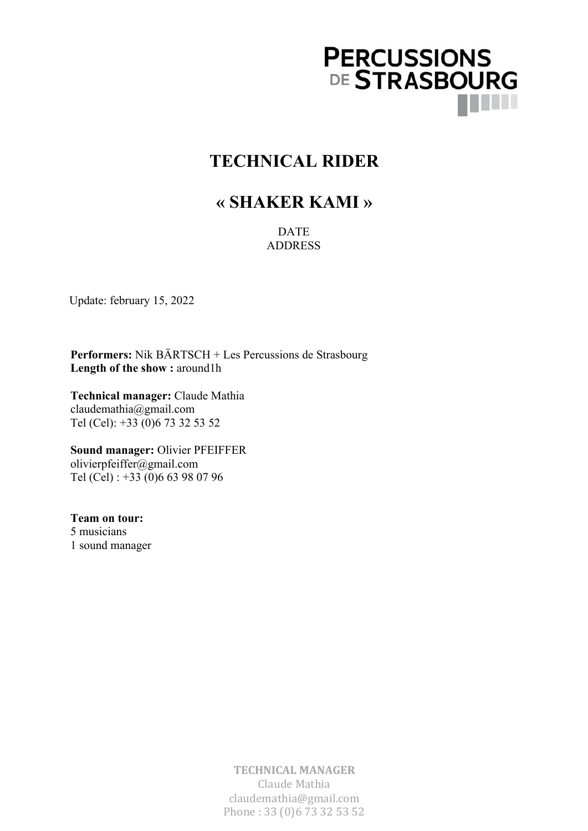

# **TECHNICAL RIDER**

## **« SHAKER KAMI »**

DATE ADDRESS

Update: february 15, 2022

**Performers:** Nik BÄRTSCH + Les Percussions de Strasbourg Length of the show : around1h

**Technical manager:** Claude Mathia claudemathia@gmail.com Tel (Cel): +33 (0)6 73 32 53 52

**Sound manager:** Olivier PFEIFFER olivierpfeiffer@gmail.com Tel (Cel) : +33 (0)6 63 98 07 96

**Team on tour:** 5 musicians 1 sound manager

> **TECHNICAL MANAGER** Claude Mathia claudemathia@gmail.com Phone: 33 (0)6 73 32 53 52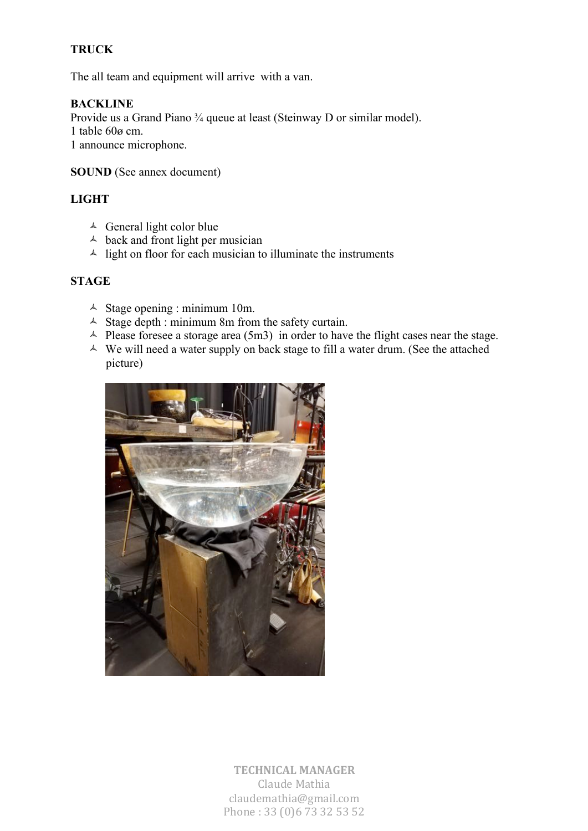## **TRUCK**

The all team and equipment will arrive with a van.

## **BACKLINE**

Provide us a Grand Piano ¾ queue at least (Steinway D or similar model). 1 table 60ø cm. 1 announce microphone.

#### **SOUND** (See annex document)

#### **LIGHT**

- $\triangle$  General light color blue
- $\triangle$  back and front light per musician
- $\triangle$  light on floor for each musician to illuminate the instruments

#### **STAGE**

- $\triangle$  Stage opening : minimum 10m.
- $\triangle$  Stage depth : minimum 8m from the safety curtain.
- $\triangle$  Please foresee a storage area (5m3) in order to have the flight cases near the stage.
- $\triangle$  We will need a water supply on back stage to fill a water drum. (See the attached picture)



**TECHNICAL MANAGER** Claude Mathia claudemathia@gmail.com Phone: 33 (0)6 73 32 53 52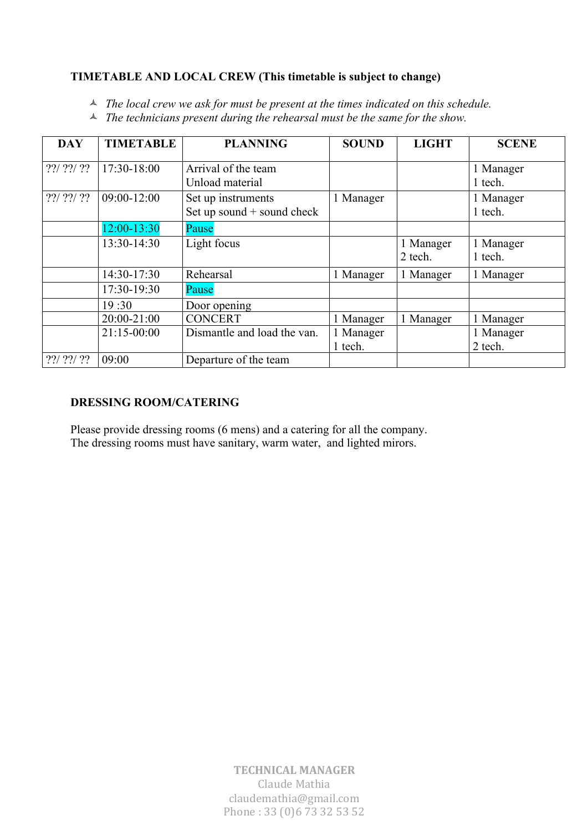## **TIMETABLE AND LOCAL CREW (This timetable is subject to change)**

<sup> $\triangle$ </sup> *The local crew we ask for must be present at the times indicated on this schedule.* 

<sup> $\triangle$ </sup> The technicians present during the rehearsal must be the same for the show.

| <b>DAY</b>                                           | <b>TIMETABLE</b> | <b>PLANNING</b>                                  | <b>SOUND</b>         | <b>LIGHT</b>         | <b>SCENE</b>         |
|------------------------------------------------------|------------------|--------------------------------------------------|----------------------|----------------------|----------------------|
| $??\frac{7?}\frac{7?}\frac{7?}\frac{7?}\frac{7}{7?}$ | 17:30-18:00      | Arrival of the team<br>Unload material           |                      |                      | 1 Manager<br>1 tech. |
|                                                      | 09:00-12:00      | Set up instruments<br>Set up sound + sound check | 1 Manager            |                      | 1 Manager<br>1 tech. |
|                                                      | $12:00 - 13:30$  | Pause                                            |                      |                      |                      |
|                                                      | 13:30-14:30      | Light focus                                      |                      | 1 Manager<br>2 tech. | 1 Manager<br>1 tech. |
|                                                      | 14:30-17:30      | Rehearsal                                        | 1 Manager            | 1 Manager            | 1 Manager            |
|                                                      | 17:30-19:30      | Pause                                            |                      |                      |                      |
|                                                      | 19:30            | Door opening                                     |                      |                      |                      |
|                                                      | 20:00-21:00      | <b>CONCERT</b>                                   | 1 Manager            | 1 Manager            | 1 Manager            |
|                                                      | 21:15-00:00      | Dismantle and load the van.                      | 1 Manager<br>1 tech. |                      | 1 Manager<br>2 tech. |
|                                                      | 09:00            | Departure of the team                            |                      |                      |                      |

## **DRESSING ROOM/CATERING**

Please provide dressing rooms (6 mens) and a catering for all the company. The dressing rooms must have sanitary, warm water, and lighted mirors.

> **TECHNICAL MANAGER** Claude Mathia claudemathia@gmail.com Phone: 33 (0)6 73 32 53 52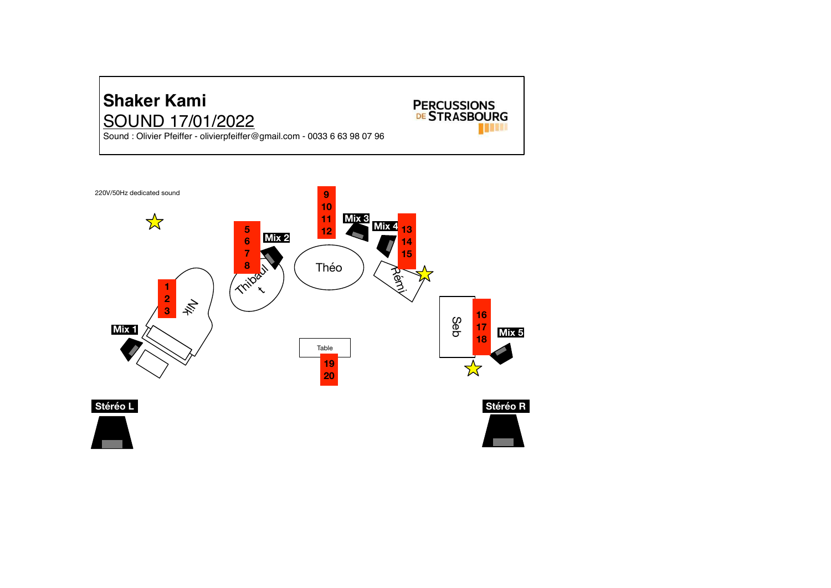